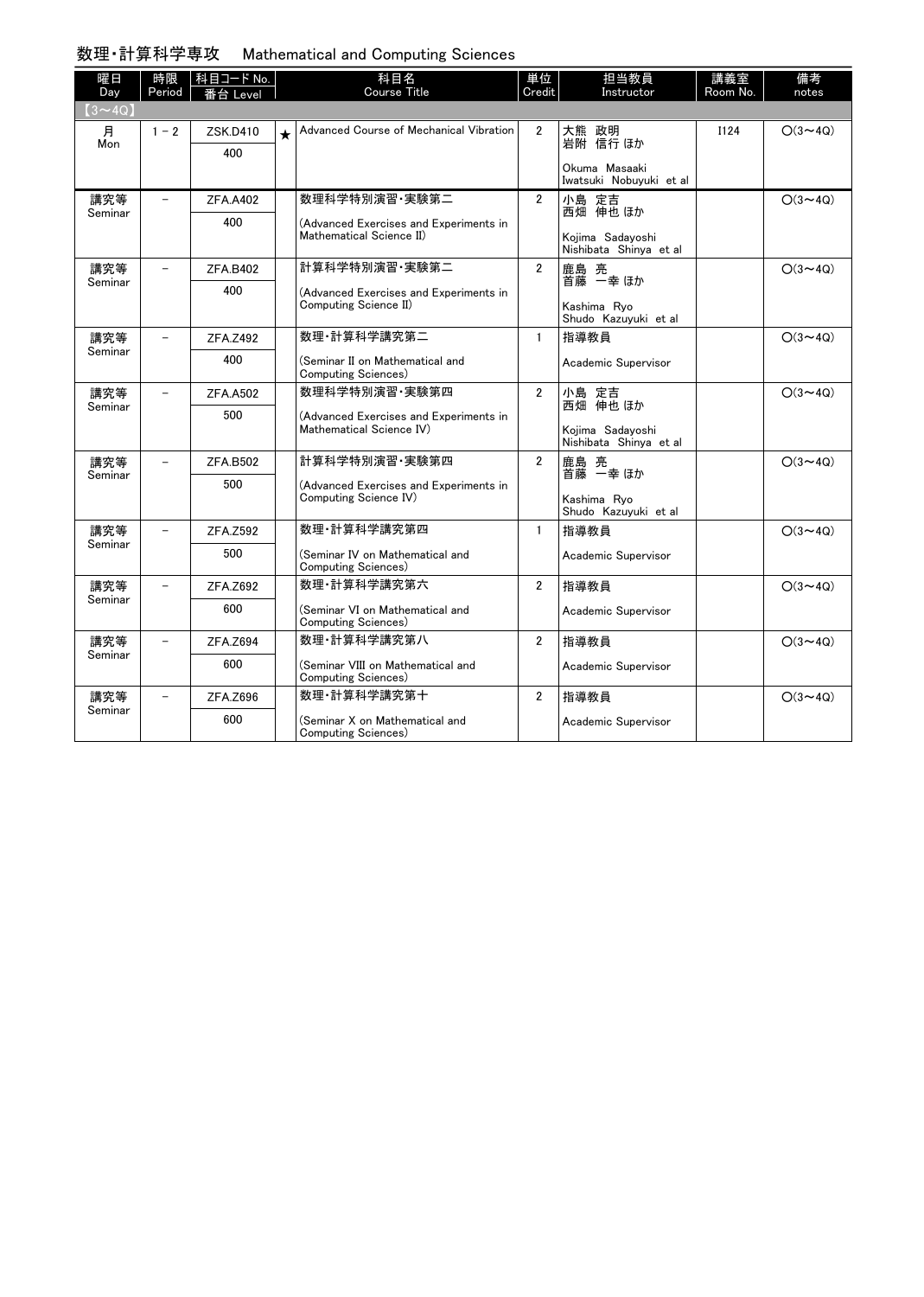## 数理・計算科学専攻 Mathematical and Computing Sciences

| 曜日             | 時限      | 科目コード No.       |         | 科目名                                                                | 単位             | 担当教員                                            | 講義室         | 備考             |
|----------------|---------|-----------------|---------|--------------------------------------------------------------------|----------------|-------------------------------------------------|-------------|----------------|
| Day            | Period  | 番台 Level        |         | <b>Course Title</b>                                                | Credit         | Instructor                                      | Room No.    | notes          |
| $(3 \sim 4Q)$  |         |                 |         |                                                                    |                |                                                 |             |                |
| 月<br>Mon       | $1 - 2$ | ZSK.D410        | $\star$ | Advanced Course of Mechanical Vibration                            | $\overline{2}$ | 大熊 政明<br>岩附 信行ほか                                | <b>I124</b> | $O(3 \sim 4Q)$ |
|                |         | 400             |         |                                                                    |                |                                                 |             |                |
|                |         |                 |         |                                                                    |                | Okuma Masaaki<br>Iwatsuki Nobuvuki et al        |             |                |
| 講究等            |         | <b>ZFA.A402</b> |         | 数理科学特別演習·実験第二                                                      | $\overline{2}$ | 小島 定吉<br>西畑 伸也 ほか                               |             | $O(3 \sim 4Q)$ |
| Seminar        |         | 400             |         | (Advanced Exercises and Experiments in<br>Mathematical Science II) |                |                                                 |             |                |
|                |         |                 |         |                                                                    |                | Kojima Sadayoshi<br>Nishibata Shinya et al      |             |                |
| 講究等<br>Seminar |         | <b>ZFA.B402</b> |         | 計算科学特別演習·実験第二                                                      | $\overline{2}$ | 鹿島 亮<br>首藤 一幸 ほか                                |             | $O(3 \sim 4Q)$ |
|                |         | 400             |         | (Advanced Exercises and Experiments in<br>Computing Science II)    |                |                                                 |             |                |
|                |         |                 |         |                                                                    |                | Kashima Rvo<br>Shudo Kazuyuki et al             |             |                |
| 講究等<br>Seminar |         | ZFA.Z492        |         | 数理·計算科学講究第二                                                        | $\mathbf{1}$   | 指導教員                                            |             | $O(3 \sim 4Q)$ |
|                |         | 400             |         | (Seminar II on Mathematical and<br>Computing Sciences)             |                | Academic Supervisor                             |             |                |
| 講究等<br>Seminar |         | <b>ZFA.A502</b> |         | 数理科学特別演習 実験第四                                                      | $\overline{2}$ | 小島 定吉<br>西畑 伸也 ほか                               |             | $O(3 \sim 4Q)$ |
|                |         | 500             |         | (Advanced Exercises and Experiments in<br>Mathematical Science IV) |                | Kojima Sadayoshi<br>Nishibata Shinya et al      |             |                |
| 講究等            |         | <b>ZFA.B502</b> |         | 計算科学特別演習 実験第四                                                      | $\overline{2}$ | 鹿島 亮                                            |             | $O(3 \sim 40)$ |
| Seminar        |         | 500             |         | (Advanced Exercises and Experiments in<br>Computing Science IV)    |                | 首藤 一幸 ほか<br>Kashima Rvo<br>Shudo Kazuyuki et al |             |                |
| 講究等            |         | ZFA.Z592        |         | 数理 計算科学講究第四                                                        | $\mathbf{1}$   | 指導教員                                            |             | $O(3 \sim 40)$ |
| Seminar        |         | 500             |         | (Seminar IV on Mathematical and<br>Computing Sciences)             |                | Academic Supervisor                             |             |                |
| 講究等            |         | ZFA.Z692        |         | 数理·計算科学講究第六                                                        | $\overline{2}$ | 指導教員                                            |             | $O(3 \sim 4Q)$ |
| Seminar        |         | 600             |         | (Seminar VI on Mathematical and<br>Computing Sciences)             |                | Academic Supervisor                             |             |                |
| 講究等<br>Seminar |         | ZFA.Z694        |         | 数理·計算科学講究第八                                                        | $\overline{2}$ | 指導教員                                            |             | $O(3 \sim 4Q)$ |
|                |         | 600             |         | (Seminar VIII on Mathematical and<br>Computing Sciences)           |                | Academic Supervisor                             |             |                |
| 講究等<br>Seminar |         | ZFA.Z696        |         | 数理·計算科学講究第十                                                        | $\overline{2}$ | 指導教員                                            |             | $O(3 \sim 40)$ |
|                |         | 600             |         | (Seminar X on Mathematical and<br>Computing Sciences)              |                | Academic Supervisor                             |             |                |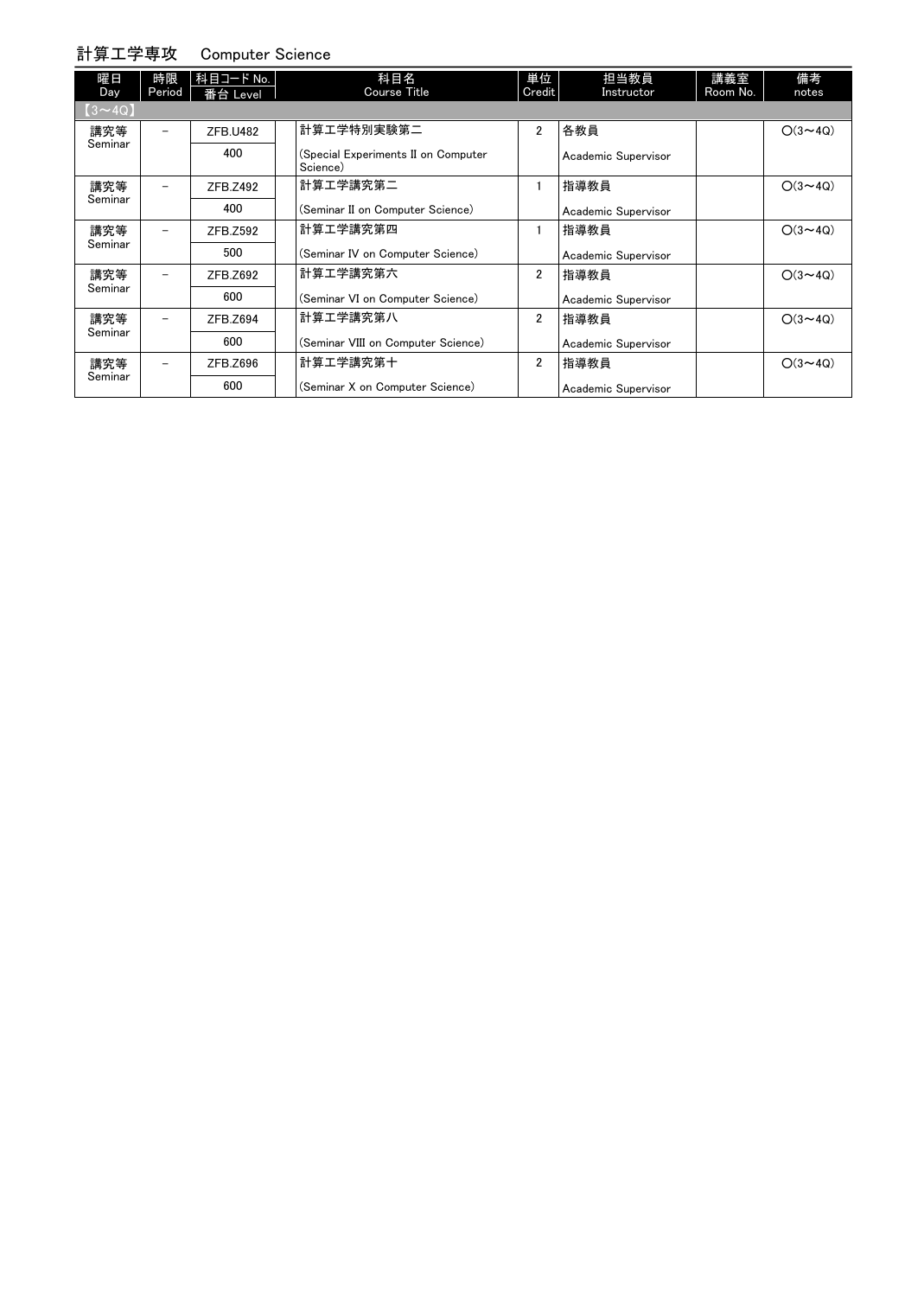## 計算工学専攻 Computer Science

| .              |              |                          |                                                 |                |                     |                 |                |
|----------------|--------------|--------------------------|-------------------------------------------------|----------------|---------------------|-----------------|----------------|
| 曜日<br>Day      | 時限<br>Period | │科目コード No. │<br>番台 Level | 科目名<br>Course Title                             | 単位<br>Credit   | 担当教員<br>Instructor  | 講義室<br>Room No. | 備考<br>notes    |
| $(3 \sim 4Q)$  |              |                          |                                                 |                |                     |                 |                |
| 講究等<br>Seminar |              | <b>ZFB.U482</b>          | 計算工学特別実験第二                                      | $\overline{2}$ | 各教員                 |                 | $O(3 \sim 4Q)$ |
|                |              | 400                      | (Special Experiments II on Computer<br>Science) |                | Academic Supervisor |                 |                |
| 講究等<br>Seminar |              | ZFB.Z492                 | 計算工学講究第二                                        |                | 指導教員                |                 | $O(3 \sim 4Q)$ |
|                |              | 400                      | (Seminar II on Computer Science)                |                | Academic Supervisor |                 |                |
| 講究等<br>Seminar |              | ZFB.Z592                 | 計算工学講究第四                                        |                | 指導教員                |                 | $O(3 \sim 4Q)$ |
|                |              | 500                      | (Seminar IV on Computer Science)                |                | Academic Supervisor |                 |                |
| 講究等<br>Seminar |              | ZFB.Z692                 | 計算工学講究第六                                        | $\overline{2}$ | 指導教員                |                 | $O(3 \sim 4Q)$ |
|                |              | 600                      | (Seminar VI on Computer Science)                |                | Academic Supervisor |                 |                |
| 講究等<br>Seminar |              | ZFB.Z694                 | 計算工学講究第八                                        | $\overline{2}$ | 指導教員                |                 | $O(3 \sim 4Q)$ |
|                |              | 600                      | (Seminar VIII on Computer Science)              |                | Academic Supervisor |                 |                |
| 講究等<br>Seminar |              | ZFB.Z696                 | 計算工学講究第十                                        | $\overline{2}$ | 指導教員                |                 | $O(3 \sim 4Q)$ |
|                |              | 600                      | (Seminar X on Computer Science)                 |                | Academic Supervisor |                 |                |